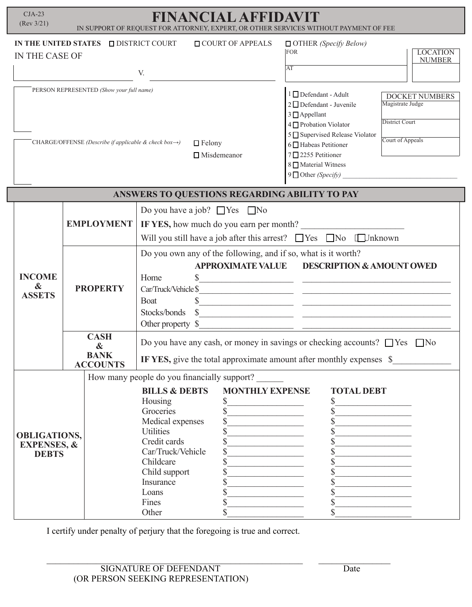| $CJA-23$<br>FINANCIAL AFFIDAVIT<br>(Rev 3/21)<br>IN SUPPORT OF REQUEST FOR ATTORNEY, EXPERT, OR OTHER SERVICES WITHOUT PAYMENT OF FEE |                                                    |                                                                                                                                                                                                     |                                                                       |                                                                                                                                                                                                                                                                                                                                |
|---------------------------------------------------------------------------------------------------------------------------------------|----------------------------------------------------|-----------------------------------------------------------------------------------------------------------------------------------------------------------------------------------------------------|-----------------------------------------------------------------------|--------------------------------------------------------------------------------------------------------------------------------------------------------------------------------------------------------------------------------------------------------------------------------------------------------------------------------|
| IN THE UNITED STATES DISTRICT COURT<br>IN THE CASE OF                                                                                 |                                                    | V.                                                                                                                                                                                                  | <b>OCOURT OF APPEALS</b>                                              | $\Box$ OTHER (Specify Below)<br><b>LOCATION</b><br>FOR<br><b>NUMBER</b><br>AT                                                                                                                                                                                                                                                  |
|                                                                                                                                       |                                                    |                                                                                                                                                                                                     |                                                                       |                                                                                                                                                                                                                                                                                                                                |
| PERSON REPRESENTED (Show your full name)<br>CHARGE/OFFENSE (Describe if applicable & check box $\rightarrow$ )<br>$\Box$ Felony       |                                                    |                                                                                                                                                                                                     | $\Box$ Misdemeanor                                                    | 1 □ Defendant - Adult<br><b>DOCKET NUMBERS</b><br>Magistrate Judge<br>$2 \Box$ Defendant - Juvenile<br>3 □ Appellant<br><b>District Court</b><br>4 Probation Violator<br>5 Supervised Release Violator<br>Court of Appeals<br>6 □ Habeas Petitioner<br>7 <sup>2255</sup> Petitioner<br>8 Material Witness<br>9 Other (Specify) |
| ANSWERS TO QUESTIONS REGARDING ABILITY TO PAY                                                                                         |                                                    |                                                                                                                                                                                                     |                                                                       |                                                                                                                                                                                                                                                                                                                                |
| <b>INCOME</b><br>$\boldsymbol{\alpha}$<br><b>ASSETS</b>                                                                               | <b>EMPLOYMENT</b>                                  | Do you have a job? $\Box$ Yes $\Box$ No<br>IF YES, how much do you earn per month?<br>Will you still have a job after this arrest? $\Box$ Yes $\Box$ No $\Box$ Jnknown                              |                                                                       |                                                                                                                                                                                                                                                                                                                                |
|                                                                                                                                       | <b>PROPERTY</b>                                    | Do you own any of the following, and if so, what is it worth?<br><b>APPROXIMATE VALUE</b><br>Home<br>Car/Truck/Vehicle \$<br>Boat<br>Stocks/bonds<br>Other property \$                              |                                                                       | <b>DESCRIPTION &amp; AMOUNT OWED</b><br>$s$ and $s$ and $s$ and $s$ and $s$ and $s$ and $s$ and $s$ and $s$ and $s$ and $s$ and $s$ and $s$ and $s$ and $s$ and $s$ and $s$ and $s$ and $s$ and $s$ and $s$ and $s$ and $s$ and $s$ and $s$ and $s$ and $s$ and $s$ a                                                          |
|                                                                                                                                       | <b>CASH</b><br>&<br><b>BANK</b><br><b>ACCOUNTS</b> | Do you have any cash, or money in savings or checking accounts? $\Box$ Yes $\Box$ No<br>IF YES, give the total approximate amount after monthly expenses \$                                         |                                                                       |                                                                                                                                                                                                                                                                                                                                |
| <b>OBLIGATIONS,</b><br><b>EXPENSES, &amp;</b><br><b>DEBTS</b>                                                                         |                                                    | <b>BILLS &amp; DEBTS</b><br>Housing<br>Groceries<br>Medical expenses<br><b>Utilities</b><br>Credit cards<br>Car/Truck/Vehicle<br>Childcare<br>Child support<br>Insurance<br>Loans<br>Fines<br>Other | How many people do you financially support?<br><b>MONTHLY EXPENSE</b> | <b>TOTAL DEBT</b>                                                                                                                                                                                                                                                                                                              |

I certify under penalty of perjury that the foregoing is true and correct.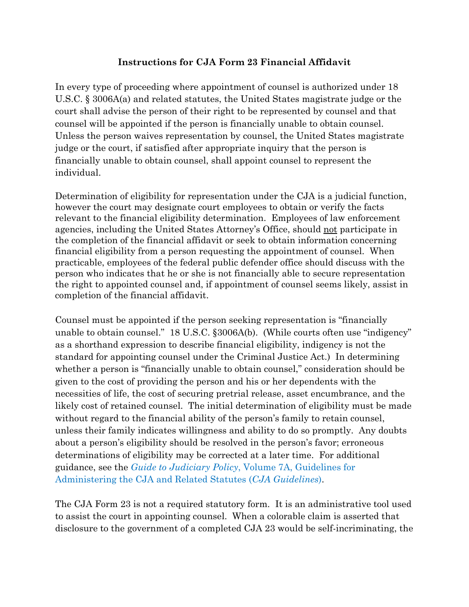## **Instructions for CJA Form 23 Financial Affidavit**

In every type of proceeding where appointment of counsel is authorized under 18 U.S.C. § 3006A(a) and related statutes, the United States magistrate judge or the court shall advise the person of their right to be represented by counsel and that counsel will be appointed if the person is financially unable to obtain counsel. Unless the person waives representation by counsel, the United States magistrate judge or the court, if satisfied after appropriate inquiry that the person is financially unable to obtain counsel, shall appoint counsel to represent the individual.

Determination of eligibility for representation under the CJA is a judicial function, however the court may designate court employees to obtain or verify the facts relevant to the financial eligibility determination. Employees of law enforcement agencies, including the United States Attorney's Office, should not participate in the completion of the financial affidavit or seek to obtain information concerning financial eligibility from a person requesting the appointment of counsel. When practicable, employees of the federal public defender office should discuss with the person who indicates that he or she is not financially able to secure representation the right to appointed counsel and, if appointment of counsel seems likely, assist in completion of the financial affidavit.

Counsel must be appointed if the person seeking representation is "financially unable to obtain counsel." 18 U.S.C. §3006A(b). (While courts often use "indigency" as a shorthand expression to describe financial eligibility, indigency is not the standard for appointing counsel under the Criminal Justice Act.) In determining whether a person is "financially unable to obtain counsel," consideration should be given to the cost of providing the person and his or her dependents with the necessities of life, the cost of securing pretrial release, asset encumbrance, and the likely cost of retained counsel. The initial determination of eligibility must be made without regard to the financial ability of the person's family to retain counsel, unless their family indicates willingness and ability to do so promptly. Any doubts about a person's eligibility should be resolved in the person's favor; erroneous determinations of eligibility may be corrected at a later time. For additional guidance, see the *Guide to Judiciary Policy*[, Volume 7A, Guidelines for](https://www.uscourts.gov/rules-policies/judiciary-policies/criminal-justice-act-cja-guidelines)  [Administering the CJA and Related Statutes \(](https://www.uscourts.gov/rules-policies/judiciary-policies/criminal-justice-act-cja-guidelines)*CJA Guidelines*).

The CJA Form 23 is not a required statutory form. It is an administrative tool used to assist the court in appointing counsel. When a colorable claim is asserted that disclosure to the government of a completed CJA 23 would be self-incriminating, the